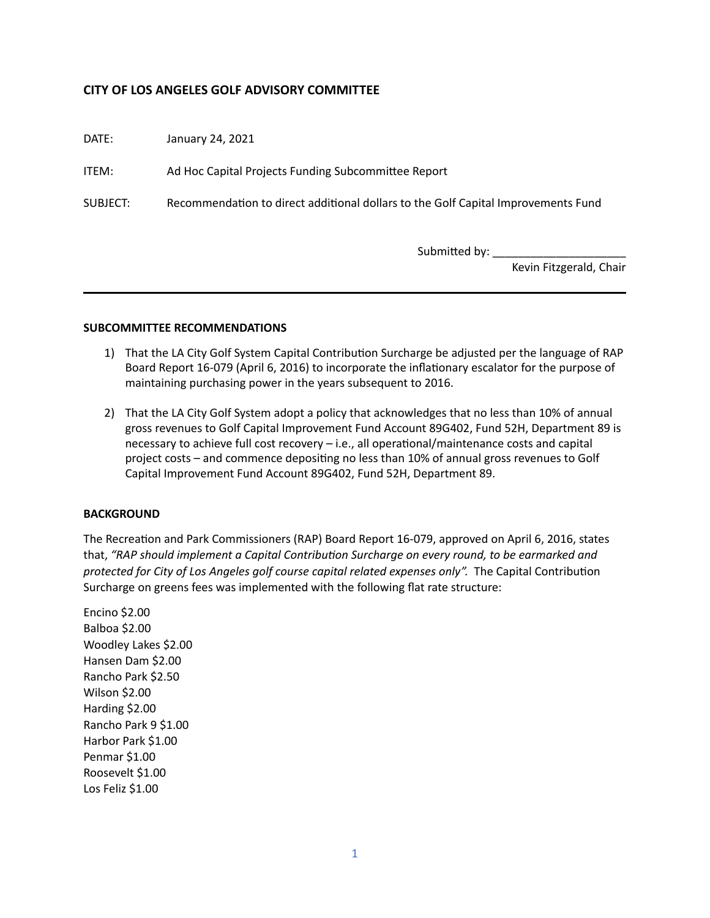# **CITY OF LOS ANGELES GOLF ADVISORY COMMITTEE**

DATE: January 24, 2021

ITEM: Ad Hoc Capital Projects Funding Subcommittee Report

SUBJECT: Recommendation to direct additional dollars to the Golf Capital Improvements Fund

Submitted by:

Kevin Fitzgerald, Chair

## **SUBCOMMITTEE RECOMMENDATIONS**

- 1) That the LA City Golf System Capital Contribution Surcharge be adjusted per the language of RAP Board Report 16-079 (April 6, 2016) to incorporate the inflationary escalator for the purpose of maintaining purchasing power in the years subsequent to 2016.
- 2) That the LA City Golf System adopt a policy that acknowledges that no less than 10% of annual gross revenues to Golf Capital Improvement Fund Account 89G402, Fund 52H, Department 89 is necessary to achieve full cost recovery  $-$  i.e., all operational/maintenance costs and capital project costs – and commence depositing no less than 10% of annual gross revenues to Golf Capital Improvement Fund Account 89G402, Fund 52H, Department 89.

### **BACKGROUND**

The Recreation and Park Commissioners (RAP) Board Report 16-079, approved on April 6, 2016, states that, "RAP should implement a Capital Contribution Surcharge on every round, to be earmarked and protected for City of Los Angeles golf course capital related expenses only". The Capital Contribution Surcharge on greens fees was implemented with the following flat rate structure:

Encino \$2.00 Balboa \$2.00 Woodley Lakes \$2.00 Hansen Dam \$2.00 Rancho Park \$2.50 Wilson \$2.00 Harding \$2.00 Rancho Park 9 \$1.00 Harbor Park \$1.00 Penmar \$1.00 Roosevelt \$1.00 Los Feliz \$1.00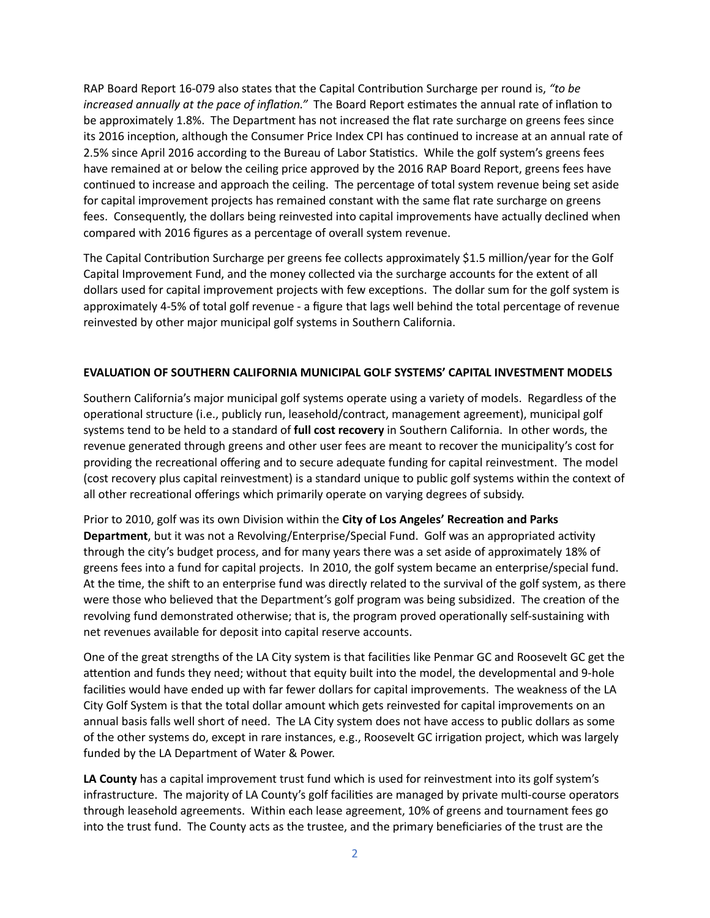RAP Board Report 16-079 also states that the Capital Contribution Surcharge per round is, "to be *increased annually at the pace of inflation."* The Board Report estimates the annual rate of inflation to be approximately 1.8%. The Department has not increased the flat rate surcharge on greens fees since its 2016 inception, although the Consumer Price Index CPI has continued to increase at an annual rate of 2.5% since April 2016 according to the Bureau of Labor Statistics. While the golf system's greens fees have remained at or below the ceiling price approved by the 2016 RAP Board Report, greens fees have continued to increase and approach the ceiling. The percentage of total system revenue being set aside for capital improvement projects has remained constant with the same flat rate surcharge on greens fees. Consequently, the dollars being reinvested into capital improvements have actually declined when compared with 2016 figures as a percentage of overall system revenue.

The Capital Contribution Surcharge per greens fee collects approximately \$1.5 million/year for the Golf Capital Improvement Fund, and the money collected via the surcharge accounts for the extent of all dollars used for capital improvement projects with few exceptions. The dollar sum for the golf system is approximately 4-5% of total golf revenue - a figure that lags well behind the total percentage of revenue reinvested by other major municipal golf systems in Southern California.

## **EVALUATION OF SOUTHERN CALIFORNIA MUNICIPAL GOLF SYSTEMS' CAPITAL INVESTMENT MODELS**

Southern California's major municipal golf systems operate using a variety of models. Regardless of the operational structure (i.e., publicly run, leasehold/contract, management agreement), municipal golf systems tend to be held to a standard of **full cost recovery** in Southern California. In other words, the revenue generated through greens and other user fees are meant to recover the municipality's cost for providing the recreational offering and to secure adequate funding for capital reinvestment. The model (cost recovery plus capital reinvestment) is a standard unique to public golf systems within the context of all other recreational offerings which primarily operate on varying degrees of subsidy.

Prior to 2010, golf was its own Division within the **City of Los Angeles' Recreation and Parks Department**, but it was not a Revolving/Enterprise/Special Fund. Golf was an appropriated activity through the city's budget process, and for many years there was a set aside of approximately 18% of greens fees into a fund for capital projects. In 2010, the golf system became an enterprise/special fund. At the time, the shift to an enterprise fund was directly related to the survival of the golf system, as there were those who believed that the Department's golf program was being subsidized. The creation of the revolving fund demonstrated otherwise; that is, the program proved operationally self-sustaining with net revenues available for deposit into capital reserve accounts.

One of the great strengths of the LA City system is that facilities like Penmar GC and Roosevelt GC get the attention and funds they need; without that equity built into the model, the developmental and 9-hole facilities would have ended up with far fewer dollars for capital improvements. The weakness of the LA City Golf System is that the total dollar amount which gets reinvested for capital improvements on an annual basis falls well short of need. The LA City system does not have access to public dollars as some of the other systems do, except in rare instances, e.g., Roosevelt GC irrigation project, which was largely funded by the LA Department of Water & Power.

**LA County** has a capital improvement trust fund which is used for reinvestment into its golf system's infrastructure. The majority of LA County's golf facilities are managed by private multi-course operators through leasehold agreements. Within each lease agreement, 10% of greens and tournament fees go into the trust fund. The County acts as the trustee, and the primary beneficiaries of the trust are the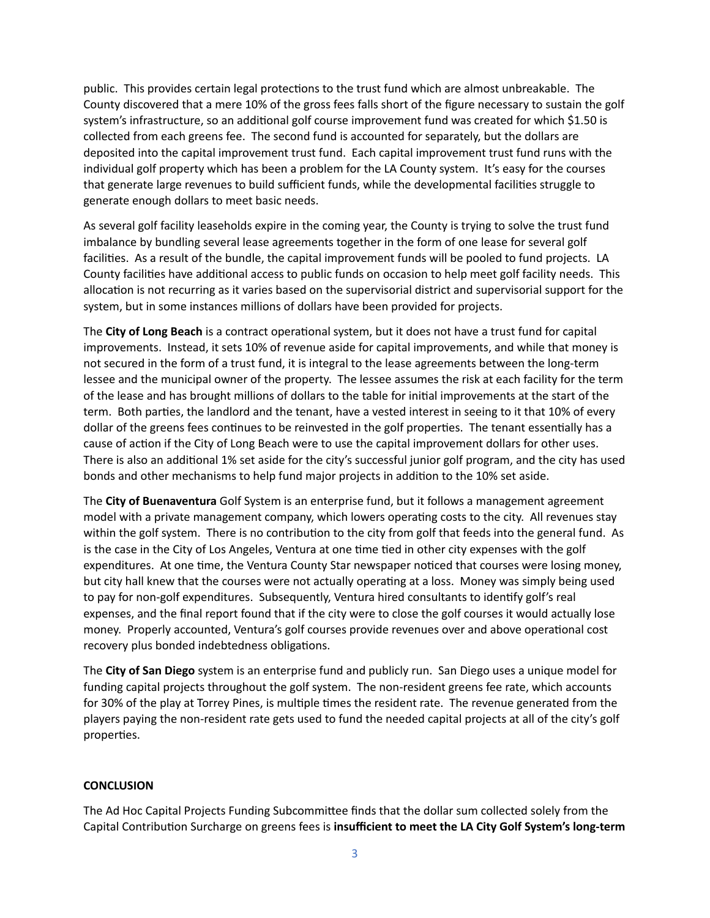public. This provides certain legal protections to the trust fund which are almost unbreakable. The County discovered that a mere 10% of the gross fees falls short of the figure necessary to sustain the golf system's infrastructure, so an additional golf course improvement fund was created for which \$1.50 is collected from each greens fee. The second fund is accounted for separately, but the dollars are deposited into the capital improvement trust fund. Each capital improvement trust fund runs with the individual golf property which has been a problem for the LA County system. It's easy for the courses that generate large revenues to build sufficient funds, while the developmental facilities struggle to generate enough dollars to meet basic needs.

As several golf facility leaseholds expire in the coming year, the County is trying to solve the trust fund imbalance by bundling several lease agreements together in the form of one lease for several golf facilities. As a result of the bundle, the capital improvement funds will be pooled to fund projects. LA County facilities have additional access to public funds on occasion to help meet golf facility needs. This allocation is not recurring as it varies based on the supervisorial district and supervisorial support for the system, but in some instances millions of dollars have been provided for projects.

The City of Long Beach is a contract operational system, but it does not have a trust fund for capital improvements. Instead, it sets 10% of revenue aside for capital improvements, and while that money is not secured in the form of a trust fund, it is integral to the lease agreements between the long-term lessee and the municipal owner of the property. The lessee assumes the risk at each facility for the term of the lease and has brought millions of dollars to the table for initial improvements at the start of the term. Both parties, the landlord and the tenant, have a vested interest in seeing to it that 10% of every dollar of the greens fees continues to be reinvested in the golf properties. The tenant essentially has a cause of action if the City of Long Beach were to use the capital improvement dollars for other uses. There is also an additional 1% set aside for the city's successful junior golf program, and the city has used bonds and other mechanisms to help fund major projects in addition to the 10% set aside.

The **City of Buenaventura** Golf System is an enterprise fund, but it follows a management agreement model with a private management company, which lowers operating costs to the city. All revenues stay within the golf system. There is no contribution to the city from golf that feeds into the general fund. As is the case in the City of Los Angeles, Ventura at one time tied in other city expenses with the golf expenditures. At one time, the Ventura County Star newspaper noticed that courses were losing money, but city hall knew that the courses were not actually operating at a loss. Money was simply being used to pay for non-golf expenditures. Subsequently, Ventura hired consultants to identify golf's real expenses, and the final report found that if the city were to close the golf courses it would actually lose money. Properly accounted, Ventura's golf courses provide revenues over and above operational cost recovery plus bonded indebtedness obligations.

The **City of San Diego** system is an enterprise fund and publicly run. San Diego uses a unique model for funding capital projects throughout the golf system. The non-resident greens fee rate, which accounts for 30% of the play at Torrey Pines, is multiple times the resident rate. The revenue generated from the players paying the non-resident rate gets used to fund the needed capital projects at all of the city's golf properties.

### **CONCLUSION**

The Ad Hoc Capital Projects Funding Subcommittee finds that the dollar sum collected solely from the Capital Contribution Surcharge on greens fees is insufficient to meet the LA City Golf System's long-term